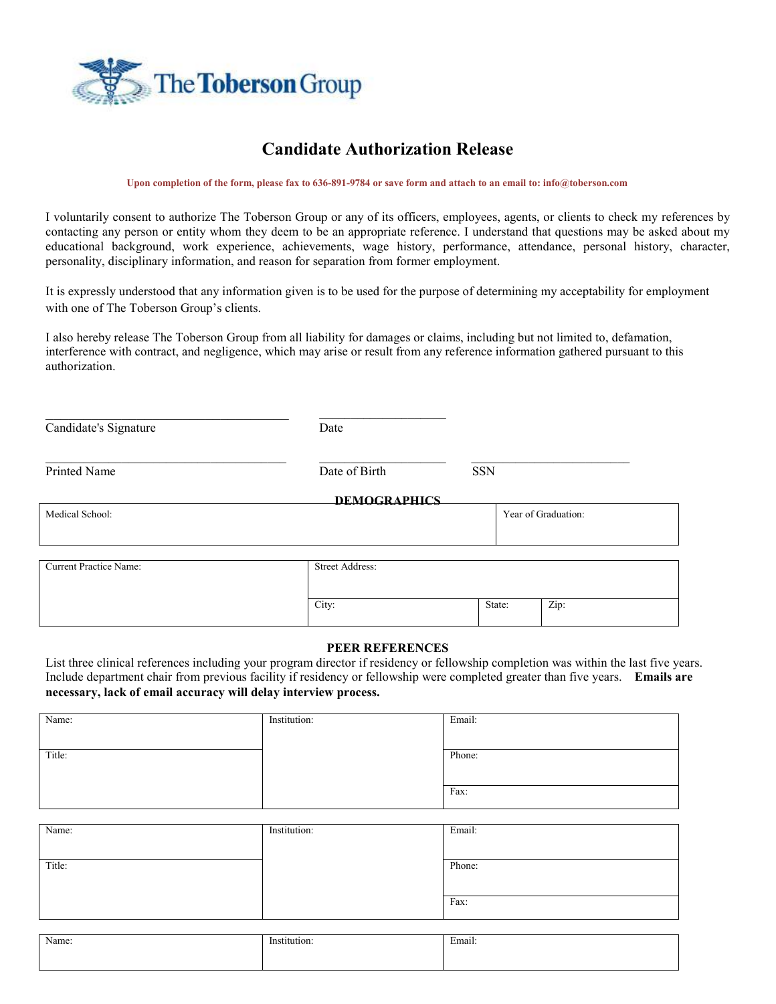

## **Candidate Authorization Release**

## **Upon completion of the form, please fax to 636-891-9784 or save form and attach to an email to: info@toberson.com**

I voluntarily consent to authorize The Toberson Group or any of its officers, employees, agents, or clients to check my references by contacting any person or entity whom they deem to be an appropriate reference. I understand that questions may be asked about my educational background, work experience, achievements, wage history, performance, attendance, personal history, character, personality, disciplinary information, and reason for separation from former employment.

It is expressly understood that any information given is to be used for the purpose of determining my acceptability for employment with one of The Toberson Group's clients.

I also hereby release The Toberson Group from all liability for damages or claims, including but not limited to, defamation, interference with contract, and negligence, which may arise or result from any reference information gathered pursuant to this authorization.

| Candidate's Signature  | Date                |            |                     |
|------------------------|---------------------|------------|---------------------|
| Printed Name           | Date of Birth       | <b>SSN</b> |                     |
|                        | <b>DEMOGRAPHICS</b> |            |                     |
| Medical School:        |                     |            | Year of Graduation: |
| Current Practice Name: | Street Address:     |            |                     |
|                        | City:               | State:     | Zip:                |

## **PEER REFERENCES**

List three clinical references including your program director if residency or fellowship completion was within the last five years. Include department chair from previous facility if residency or fellowship were completed greater than five years. **Emails are necessary, lack of email accuracy will delay interview process.** 

| Name:  | Institution: | Email: |
|--------|--------------|--------|
|        |              |        |
| Title: |              | Phone: |
|        |              |        |
|        |              | Fax:   |
|        |              |        |

| Name:  | Institution: | Email: |
|--------|--------------|--------|
|        |              |        |
| Title: |              | Phone: |
|        |              |        |
|        |              | Fax:   |
|        |              |        |

| Name: | Institution. | Email: |
|-------|--------------|--------|
|       |              |        |